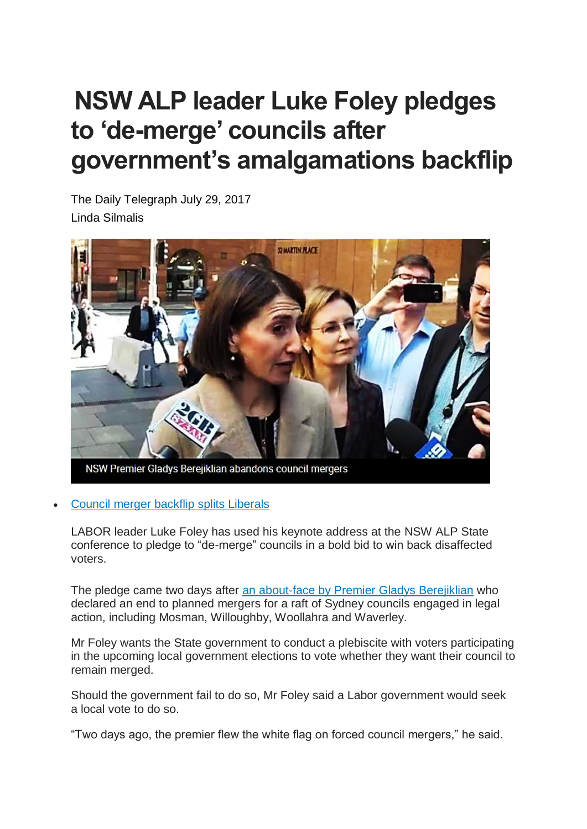## **NSW ALP leader Luke Foley pledges to 'de-merge' councils after government's amalgamations backflip**

The Daily Telegraph July 29, 2017 Linda Silmalis



NSW Premier Gladys Berejiklian abandons council mergers

## • Council merger backflip splits [Liberals](http://www.dailytelegraph.com.au/news/nsw/council-merger-backflip-splits-liberals/news-story/e7ff1f1adc1e9d91e0e60e33ecce1bcf)

LABOR leader Luke Foley has used his keynote address at the NSW ALP State conference to pledge to "de-merge" councils in a bold bid to win back disaffected voters.

 $\overline{\phantom{a}}$ 

The pledge came two days after an [about-face](http://www.dailytelegraph.com.au/news/nsw/council-merger-backflip-splits-liberals/news-story/e7ff1f1adc1e9d91e0e60e33ecce1bcf) by Premier Gladys Berejiklian who declared an end to planned mergers for a raft of Sydney councils engaged in legal action, including Mosman, Willoughby, Woollahra and Waverley.

Mr Foley wants the State government to conduct a plebiscite with voters participating in the upcoming local government elections to vote whether they want their council to remain merged.

Should the government fail to do so, Mr Foley said a Labor government would seek a local vote to do so.

"Two days ago, the premier flew the white flag on forced council mergers," he said.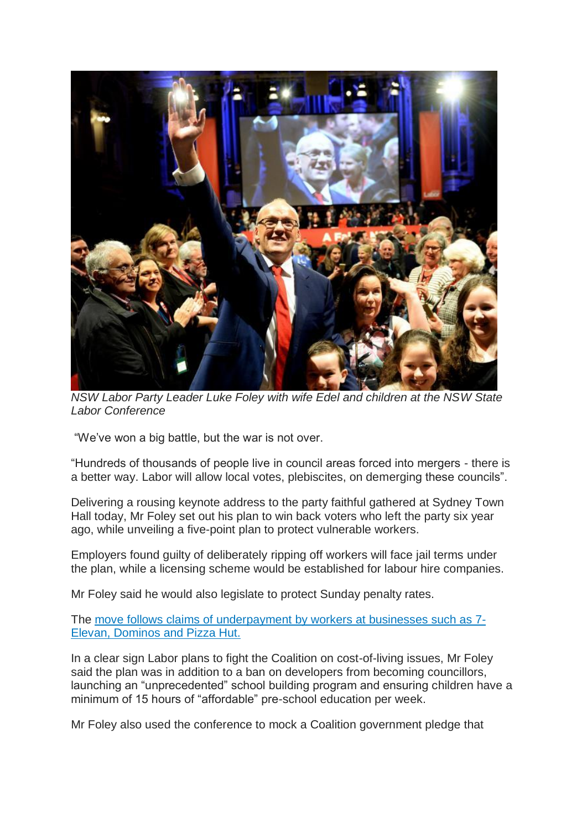

*NSW Labor Party Leader Luke Foley with wife Edel and children at the NSW State Labor Conference*

"We've won a big battle, but the war is not over.

"Hundreds of thousands of people live in council areas forced into mergers - there is a better way. Labor will allow local votes, plebiscites, on demerging these councils".

Delivering a rousing keynote address to the party faithful gathered at Sydney Town Hall today, Mr Foley set out his plan to win back voters who left the party six year ago, while unveiling a five-point plan to protect vulnerable workers.

Employers found guilty of deliberately ripping off workers will face jail terms under the plan, while a licensing scheme would be established for labour hire companies.

Mr Foley said he would also legislate to protect Sunday penalty rates.

The move follows claims of [underpayment](http://www.dailytelegraph.com.au/business/opposition-leader-luke-foley-promises-to-jail-employers-who-underpay-workers/news-story/52359330bd753aaebe2d620f5a9e660b) by workers at businesses such as 7- Elevan, [Dominos](http://www.dailytelegraph.com.au/business/opposition-leader-luke-foley-promises-to-jail-employers-who-underpay-workers/news-story/52359330bd753aaebe2d620f5a9e660b) and Pizza Hut.

In a clear sign Labor plans to fight the Coalition on cost-of-living issues, Mr Foley said the plan was in addition to a ban on developers from becoming councillors, launching an "unprecedented" school building program and ensuring children have a minimum of 15 hours of "affordable" pre-school education per week.

Mr Foley also used the conference to mock a Coalition government pledge that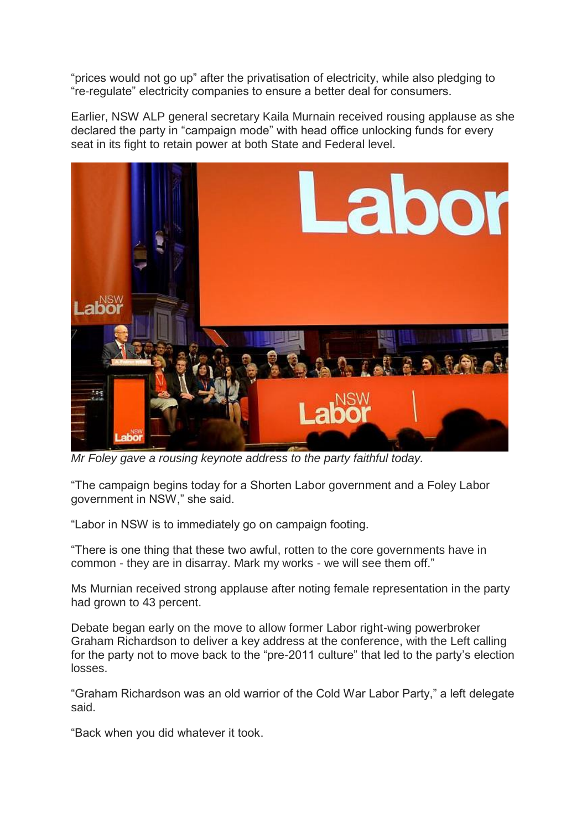"prices would not go up" after the privatisation of electricity, while also pledging to "re-regulate" electricity companies to ensure a better deal for consumers.

Earlier, NSW ALP general secretary Kaila Murnain received rousing applause as she declared the party in "campaign mode" with head office unlocking funds for every seat in its fight to retain power at both State and Federal level.



*Mr Foley gave a rousing keynote address to the party faithful today.*

"The campaign begins today for a Shorten Labor government and a Foley Labor government in NSW," she said.

"Labor in NSW is to immediately go on campaign footing.

"There is one thing that these two awful, rotten to the core governments have in common - they are in disarray. Mark my works - we will see them off."

Ms Murnian received strong applause after noting female representation in the party had grown to 43 percent.

Debate began early on the move to allow former Labor right-wing powerbroker Graham Richardson to deliver a key address at the conference, with the Left calling for the party not to move back to the "pre-2011 culture" that led to the party's election losses.

"Graham Richardson was an old warrior of the Cold War Labor Party," a left delegate said.

"Back when you did whatever it took.